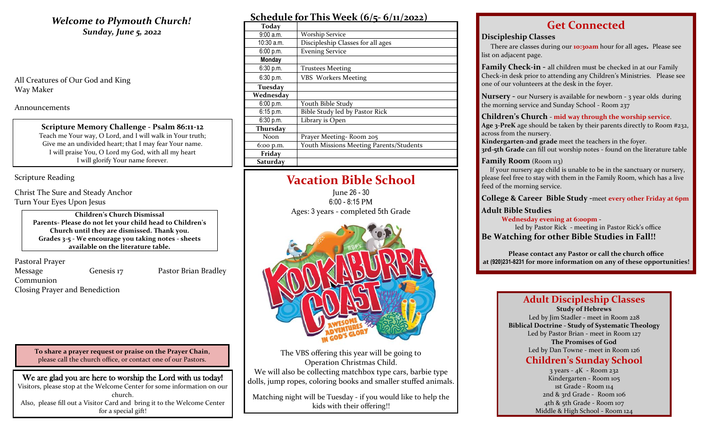## **Welcome to Plymouth Church!** *Sunday, June 5, 2022*

All Creatures of Our God and King Way Maker

Announcements

**Scripture Memory Challenge - Psalm 86:11-12** Teach me Your way, O Lord, and I will walk in Your truth; Give me an undivided heart; that I may fear Your name. I will praise You, O Lord my God, with all my heart I will glorify Your name forever.

Scripture Reading

Christ The Sure and Steady Anchor Turn Your Eyes Upon Jesus

> **Children's Church Dismissal Parents- Please do not let your child head to Children's Church until they are dismissed. Thank you. Grades 3-5 - We encourage you taking notes - sheets available on the literature table.**

Pastoral Prayer

Message **Genesis 17** Pastor Brian Bradley

Communion

Closing Prayer and Benediction

**To share a prayer request or praise on the Prayer Chain**, please call the church office, or contact one of our Pastors.

We are glad you are here to worship the Lord with us today! Visitors, please stop at the Welcome Center for some information on our church. Also, please fill out a Visitor Card and bring it to the Welcome Center for a special gift!

| Schedule for This Week $(6/5 - 6/11/2022)$ |  |  |  |
|--------------------------------------------|--|--|--|
|                                            |  |  |  |

| <b>Today</b> |                                         |
|--------------|-----------------------------------------|
| 9:00a.m.     | <b>Worship Service</b>                  |
| $10:30$ a.m. | Discipleship Classes for all ages       |
| 6:00 p.m.    | <b>Evening Service</b>                  |
| Monday       |                                         |
| 6:30 p.m.    | <b>Trustees Meeting</b>                 |
| 6:30 p.m.    | <b>VBS</b> Workers Meeting              |
| Tuesday      |                                         |
| Wednesday    |                                         |
| 6:00 p.m.    | Youth Bible Study                       |
| $6:15$ p.m.  | Bible Study led by Pastor Rick          |
| 6:30 p.m.    | Library is Open                         |
| Thursday     |                                         |
| Noon         | Prayer Meeting-Room 205                 |
| 6:00 p.m.    | Youth Missions Meeting Parents/Students |
| Friday       |                                         |
| Saturday     |                                         |

# **Vacation Bible School**

June 26 - 30 6:00 - 8:15 PM Ages: 3 years - completed 5th Grade



The VBS offering this year will be going to Operation Christmas Child. We will also be collecting matchbox type cars, barbie type dolls, jump ropes, coloring books and smaller stuffed animals.

Matching night will be Tuesday - if you would like to help the kids with their offering!!

# **Get Connected**

### **Discipleship Classes**

There are classes during our **10:30am** hour for all ages**.** Please see list on adjacent page.

**Family Check-in -** all children must be checked in at our Family Check-in desk prior to attending any Children's Ministries. Please see one of our volunteers at the desk in the foyer.

**Nursery -** our Nursery is available for newborn - 3 year olds during the morning service and Sunday School - Room 237

### **Children's Church** - **mid way through the worship service**.

**Age 3-PreK** age should be taken by their parents directly to Room #232, across from the nursery.

**Kindergarten-2nd grade** meet the teachers in the foyer. **3rd-5th Grade** can fill out worship notes - found on the literature table

### **Family Room** (Room 113)

 If your nursery age child is unable to be in the sanctuary or nursery, please feel free to stay with them in the Family Room, which has a live feed of the morning service.

**College & Career Bible Study -**meet **every other Friday at 6pm**

## **Adult Bible Studies**

 **Wednesday evening at 6:00pm -**

led by Pastor Rick - meeting in Pastor Rick's office **Be Watching for other Bible Studies in Fall!!**

**Please contact any Pastor or call the church office at (920)231-8231 for more information on any of these opportunities!**

### **Adult Discipleship Classes Study of Hebrews**

Led by Jim Stadler - meet in Room 228 **Biblical Doctrine - Study of Systematic Theology** Led by Pastor Brian - meet in Room 127 **The Promises of God** Led by Dan Towne - meet in Room 126

## **Children's Sunday School**

3 years - 4K - Room 232 Kindergarten - Room 105 1st Grade - Room 114 2nd & 3rd Grade - Room 106 4th & 5th Grade - Room 107 Middle & High School - Room 124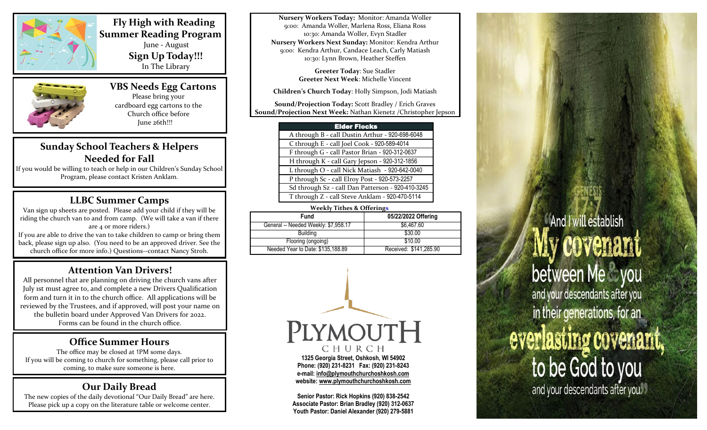

 **Fly High with Reading Summer Reading Program** June - August **Sign Up Today!!!** In The Library



 **VBS Needs Egg Cartons** Please bring your cardboard egg cartons to the Church office before June 26th!!!

# **Sunday School Teachers & Helpers Needed for Fall**

If you would be willing to teach or help in our Children's Sunday School Program, please contact Kristen Anklam.

# **LLBC Summer Camps**

Van sign up sheets are posted. Please add your child if they will be riding the church van to and from camp. (We will take a van if there are 4 or more riders.) If you are able to drive the van to take children to camp or bring them back, please sign up also. (You need to be an approved driver. See the church office for more info.) Questions--contact Nancy Stroh.

# **Attention Van Drivers!**

All personnel that are planning on driving the church vans after July 1st must agree to, and complete a new Drivers Qualification form and turn it in to the church office. All applications will be reviewed by the Trustees, and if approved, will post your name on the bulletin board under Approved Van Drivers for 2022. Forms can be found in the church office.

## **Office Summer Hours**

The office may be closed at 1PM some days. If you will be coming to church for something, please call prior to coming, to make sure someone is here.

# **Our Daily Bread**

The new copies of the daily devotional "Our Daily Bread" are here. Please pick up a copy on the literature table or welcome center.

**Nursery Workers Today:** Monitor: Amanda Woller 9:00: Amanda Woller, Marlena Ross, Eliana Ross 10:30: Amanda Woller, Evyn Stadler **Nursery Workers Next Sunday:** Monitor: Kendra Arthur 9:00: Kendra Arthur, Candace Leach, Carly Matiash 10:30: Lynn Brown, Heather Steffen

> **Greeter Today**: Sue Stadler **Greeter Next Week**: Michelle Vincent

**Children's Church Today**: Holly Simpson, Jodi Matiash

**Sound/Projection Today:** Scott Bradley / Erich Graves **Sound/Projection Next Week:** Nathan Kienetz /Christopher Jepson

### Elder Flocks

 A through B - call Dustin Arthur - 920-698-6048 C through E - call Joel Cook - 920-589-4014 F through G - call Pastor Brian - 920-312-0637 H through K - call Gary Jepson - 920-312-1856 L through O - call Nick Matiash - 920-642-0040 P through Sc - call Elroy Post - 920-573-2257 Sd through Sz - call Dan Patterson - 920-410-3245 T through Z - call Steve Anklam - 920-470-5114

### **Weekly Tithes & Offerings**

| <b>Fund</b>                          | 05/22/2022 Offering    |
|--------------------------------------|------------------------|
| General -- Needed Weekly: \$7,958.17 | \$6,467.60             |
| <b>Building</b>                      | \$30.00                |
| Flooring (ongoing)                   | \$10.00                |
| Needed Year to Date: \$135,188.89    | Received: \$141,285.90 |
|                                      |                        |



**Senior Pastor: Rick Hopkins (920) 838-2542 Associate Pastor: Brian Bradley (920) 312-0637 Youth Pastor: Daniel Alexander (920) 279-5881**